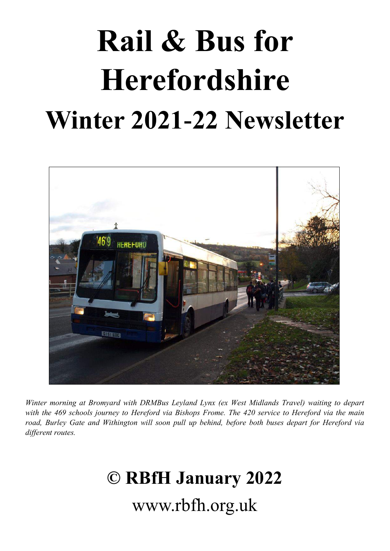# **Rail & Bus for Herefordshire Winter 2021-22 Newsletter**



*Winter morning at Bromyard with DRMBus Leyland Lynx (ex West Midlands Travel) waiting to depart with the 469 schools journey to Hereford via Bishops Frome. The 420 service to Hereford via the main road, Burley Gate and Withington will soon pull up behind, before both buses depart for Hereford via different routes.* 

# **© RBfH January 2022** www.rbfh.org.uk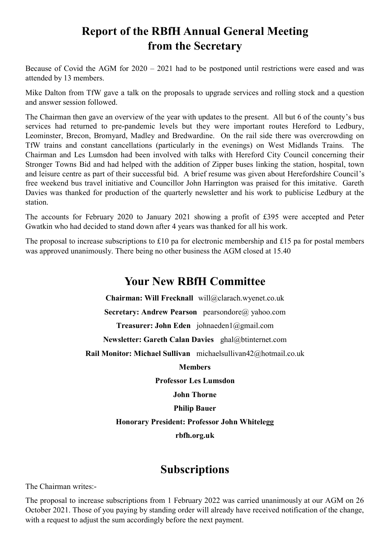# **Report of the RBfH Annual General Meeting from the Secretary**

Because of Covid the AGM for 2020 – 2021 had to be postponed until restrictions were eased and was attended by 13 members.

Mike Dalton from TfW gave a talk on the proposals to upgrade services and rolling stock and a question and answer session followed.

The Chairman then gave an overview of the year with updates to the present. All but 6 of the county's bus services had returned to pre-pandemic levels but they were important routes Hereford to Ledbury, Leominster, Brecon, Bromyard, Madley and Bredwardine. On the rail side there was overcrowding on TfW trains and constant cancellations (particularly in the evenings) on West Midlands Trains. The Chairman and Les Lumsdon had been involved with talks with Hereford City Council concerning their Stronger Towns Bid and had helped with the addition of Zipper buses linking the station, hospital, town and leisure centre as part of their successful bid. A brief resume was given about Herefordshire Council's free weekend bus travel initiative and Councillor John Harrington was praised for this imitative. Gareth Davies was thanked for production of the quarterly newsletter and his work to publicise Ledbury at the station.

The accounts for February 2020 to January 2021 showing a profit of £395 were accepted and Peter Gwatkin who had decided to stand down after 4 years was thanked for all his work.

The proposal to increase subscriptions to £10 pa for electronic membership and £15 pa for postal members was approved unanimously. There being no other business the AGM closed at 15.40

#### **Your New RBfH Committee**

**Chairman: Will Frecknall** will@clarach.wyenet.co.uk **Secretary: Andrew Pearson** pearsondore@ yahoo.com **Treasurer: John Eden** johnaeden1@gmail.com **Newsletter: Gareth Calan Davies** ghal@btinternet.com **Rail Monitor: Michael Sullivan** michaelsullivan42@hotmail.co.uk **Members Professor Les Lumsdon John Thorne Philip Bauer Honorary President: Professor John Whitelegg rbfh.org.uk**

#### **Subscriptions**

The Chairman writes:-

The proposal to increase subscriptions from 1 February 2022 was carried unanimously at our AGM on 26 October 2021. Those of you paying by standing order will already have received notification of the change, with a request to adjust the sum accordingly before the next payment.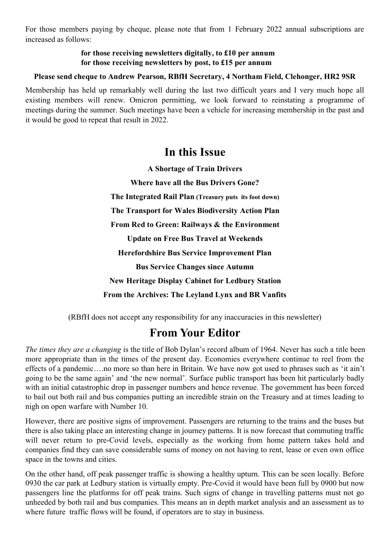For those members paying by cheque, please note that from 1 February 2022 annual subscriptions are increased as follows:

#### **for those receiving newsletters digitally, to £10 per annum for those receiving newsletters by post, to £15 per annum**

#### **Please send cheque to Andrew Pearson, RBfH Secretary, 4 Northam Field, Clehonger, HR2 9SR**

Membership has held up remarkably well during the last two difficult years and I very much hope all existing members will renew. Omicron permitting, we look forward to reinstating a programme of meetings during the summer. Such meetings have been a vehicle for increasing membership in the past and it would be good to repeat that result in 2022.

#### **In this Issue**

**A Shortage of Train Drivers Where have all the Bus Drivers Gone? The Integrated Rail Plan (Treasury puts its foot down) The Transport for Wales Biodiversity Action Plan From Red to Green: Railways & the Environment Update on Free Bus Travel at Weekends Herefordshire Bus Service Improvement Plan Bus Service Changes since Autumn New Heritage Display Cabinet for Ledbury Station From the Archives: The Leyland Lynx and BR Vanfits**

(RBfH does not accept any responsibility for any inaccuracies in this newsletter)

#### **From Your Editor**

*The times they are a changing* is the title of Bob Dylan's record album of 1964. Never has such a title been more appropriate than in the times of the present day. Economies everywhere continue to reel from the effects of a pandemic….no more so than here in Britain. We have now got used to phrases such as 'it ain't going to be the same again' and 'the new normal'. Surface public transport has been hit particularly badly with an initial catastrophic drop in passenger numbers and hence revenue. The government has been forced to bail out both rail and bus companies putting an incredible strain on the Treasury and at times leading to nigh on open warfare with Number 10.

However, there are positive signs of improvement. Passengers are returning to the trains and the buses but there is also taking place an interesting change in journey patterns. It is now forecast that commuting traffic will never return to pre-Covid levels, especially as the working from home pattern takes hold and companies find they can save considerable sums of money on not having to rent, lease or even own office space in the towns and cities.

On the other hand, off peak passenger traffic is showing a healthy upturn. This can be seen locally. Before 0930 the car park at Ledbury station is virtually empty. Pre-Covid it would have been full by 0900 but now passengers line the platforms for off peak trains. Such signs of change in travelling patterns must not go unheeded by both rail and bus companies. This means an in depth market analysis and an assessment as to where future traffic flows will be found, if operators are to stay in business.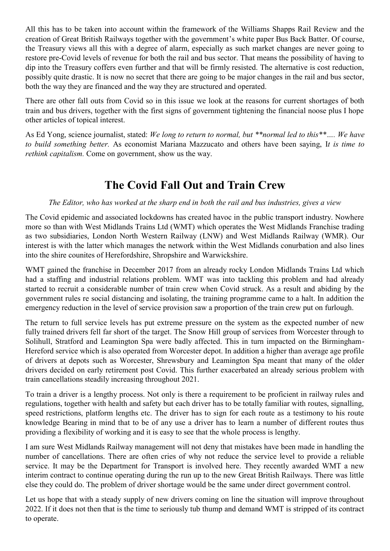All this has to be taken into account within the framework of the Williams Shapps Rail Review and the creation of Great British Railways together with the government's white paper Bus Back Batter. Of course, the Treasury views all this with a degree of alarm, especially as such market changes are never going to restore pre-Covid levels of revenue for both the rail and bus sector. That means the possibility of having to dip into the Treasury coffers even further and that will be firmly resisted. The alternative is cost reduction, possibly quite drastic. It is now no secret that there are going to be major changes in the rail and bus sector, both the way they are financed and the way they are structured and operated.

There are other fall outs from Covid so in this issue we look at the reasons for current shortages of both train and bus drivers, together with the first signs of government tightening the financial noose plus I hope other articles of topical interest.

As Ed Yong, science journalist, stated: *We long to return to normal, but \*\*normal led to this\*\*…. We have to build something better.* As economist Mariana Mazzucato and others have been saying, I*[t is time to](https://www.ted.com/talks/mariana_mazzucato_the_covid_19_crisis_is_a_chance_to_do_capitalism_differently)  [rethink capitalism.](https://www.ted.com/talks/mariana_mazzucato_the_covid_19_crisis_is_a_chance_to_do_capitalism_differently)* Come on government, show us the way.

#### **The Covid Fall Out and Train Crew**

#### *The Editor, who has worked at the sharp end in both the rail and bus industries, gives a view*

The Covid epidemic and associated lockdowns has created havoc in the public transport industry. Nowhere more so than with West Midlands Trains Ltd (WMT) which operates the West Midlands Franchise trading as two subsidiaries, London North Western Railway (LNW) and West Midlands Railway (WMR). Our interest is with the latter which manages the network within the West Midlands conurbation and also lines into the shire counites of Herefordshire, Shropshire and Warwickshire.

WMT gained the franchise in December 2017 from an already rocky London Midlands Trains Ltd which had a staffing and industrial relations problem. WMT was into tackling this problem and had already started to recruit a considerable number of train crew when Covid struck. As a result and abiding by the government rules re social distancing and isolating, the training programme came to a halt. In addition the emergency reduction in the level of service provision saw a proportion of the train crew put on furlough.

The return to full service levels has put extreme pressure on the system as the expected number of new fully trained drivers fell far short of the target. The Snow Hill group of services from Worcester through to Solihull, Stratford and Leamington Spa were badly affected. This in turn impacted on the Birmingham-Hereford service which is also operated from Worcester depot. In addition a higher than average age profile of drivers at depots such as Worcester, Shrewsbury and Leamington Spa meant that many of the older drivers decided on early retirement post Covid. This further exacerbated an already serious problem with train cancellations steadily increasing throughout 2021.

To train a driver is a lengthy process. Not only is there a requirement to be proficient in railway rules and regulations, together with health and safety but each driver has to be totally familiar with routes, signalling, speed restrictions, platform lengths etc. The driver has to sign for each route as a testimony to his route knowledge Bearing in mind that to be of any use a driver has to learn a number of different routes thus providing a flexibility of working and it is easy to see that the whole process is lengthy.

I am sure West Midlands Railway management will not deny that mistakes have been made in handling the number of cancellations. There are often cries of why not reduce the service level to provide a reliable service. It may be the Department for Transport is involved here. They recently awarded WMT a new interim contract to continue operating during the run up to the new Great British Railways. There was little else they could do. The problem of driver shortage would be the same under direct government control.

Let us hope that with a steady supply of new drivers coming on line the situation will improve throughout 2022. If it does not then that is the time to seriously tub thump and demand WMT is stripped of its contract to operate.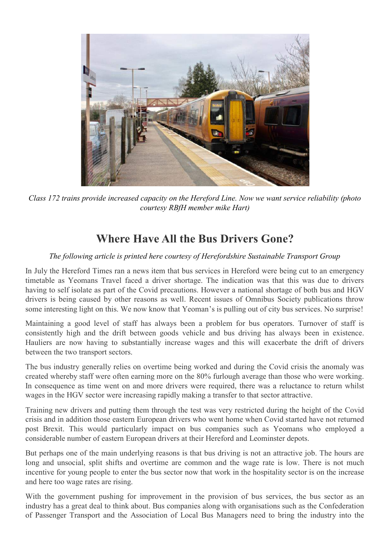

*Class 172 trains provide increased capacity on the Hereford Line. Now we want service reliability (photo courtesy RBfH member mike Hart)*

# **Where Have All the Bus Drivers Gone?**

*The following article is printed here courtesy of Herefordshire Sustainable Transport Group*

In July the Hereford Times ran a news item that bus services in Hereford were being cut to an emergency timetable as Yeomans Travel faced a driver shortage. The indication was that this was due to drivers having to self isolate as part of the Covid precautions. However a national shortage of both bus and HGV drivers is being caused by other reasons as well. Recent issues of Omnibus Society publications throw some interesting light on this. We now know that Yeoman's is pulling out of city bus services. No surprise!

Maintaining a good level of staff has always been a problem for bus operators. Turnover of staff is consistently high and the drift between goods vehicle and bus driving has always been in existence. Hauliers are now having to substantially increase wages and this will exacerbate the drift of drivers between the two transport sectors.

The bus industry generally relies on overtime being worked and during the Covid crisis the anomaly was created whereby staff were often earning more on the 80% furlough average than those who were working. In consequence as time went on and more drivers were required, there was a reluctance to return whilst wages in the HGV sector were increasing rapidly making a transfer to that sector attractive.

Training new drivers and putting them through the test was very restricted during the height of the Covid crisis and in addition those eastern European drivers who went home when Covid started have not returned post Brexit. This would particularly impact on bus companies such as Yeomans who employed a considerable number of eastern European drivers at their Hereford and Leominster depots.

But perhaps one of the main underlying reasons is that bus driving is not an attractive job. The hours are long and unsocial, split shifts and overtime are common and the wage rate is low. There is not much incentive for young people to enter the bus sector now that work in the hospitality sector is on the increase and here too wage rates are rising.

With the government pushing for improvement in the provision of bus services, the bus sector as an industry has a great deal to think about. Bus companies along with organisations such as the Confederation of Passenger Transport and the Association of Local Bus Managers need to bring the industry into the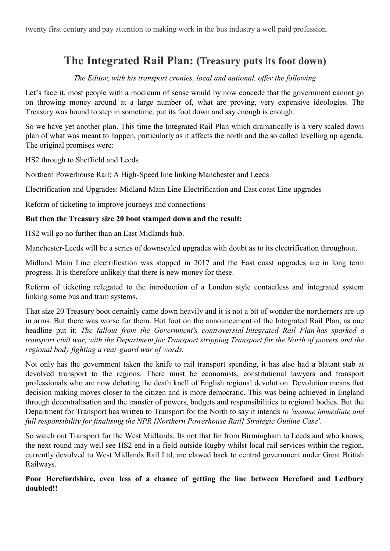twenty first century and pay attention to making work in the bus industry a well paid profession.

# **The Integrated Rail Plan: (Treasury puts its foot down)**

*The Editor, with his transport cronies, local and national, offer the following*

Let's face it, most people with a modicum of sense would by now concede that the government cannot go on throwing money around at a large number of, what are proving, very expensive ideologies. The Treasury was bound to step in sometime, put its foot down and say enough is enough.

So we have yet another plan. This time the Integrated Rail Plan which dramatically is a very scaled down plan of what was meant to happen, particularly as it affects the north and the so called levelling up agenda. The original promises were:

HS2 through to Sheffield and Leeds

Northern Powerhouse Rail: A High-Speed line linking Manchester and Leeds

Electrification and Upgrades: Midland Main Line Electrification and East coast Line upgrades

Reform of ticketing to improve journeys and connections

#### **But then the Treasury size 20 boot stamped down and the result:**

HS2 will go no further than an East Midlands hub.

Manchester-Leeds will be a series of downscaled upgrades with doubt as to its electrification throughout.

Midland Main Line electrification was stopped in 2017 and the East coast upgrades are in long term progress. It is therefore unlikely that there is new money for these.

Reform of ticketing relegated to the introduction of a London style contactless and integrated system linking some bus and tram systems.

That size 20 Treasury boot certainly came down heavily and it is not a bit of wonder the northerners are up in arms. But there was worse for them. Hot foot on the announcement of the Integrated Rail Plan, as one headline put it: *The fallout from the Government's controversial Integrated Rail Plan has sparked a transport civil war, with the Department for Transport stripping Transport for the North of powers and the regional body fighting a rear-guard war of words.*

Not only has the government taken the knife to rail transport spending, it has also had a blatant stab at devolved transport to the regions. There must be economists, constitutional lawyers and transport professionals who are now debating the death knell of English regional devolution. Devolution means that decision making moves closer to the citizen and is more democratic. This was being achieved in England through decentralisation and the transfer of powers, budgets and responsibilities to regional bodies. But the Department for Transport has written to Transport for the North to say it intends *to 'assume immediate and full responsibility for finalising the NPR [Northern Powerhouse Rail] Strategic Outline Case'.*

So watch out Transport for the West Midlands. Its not that far from Birmingham to Leeds and who knows, the next round may well see HS2 end in a field outside Rugby whilst local rail services within the region, currently devolved to West Midlands Rail Ltd, are clawed back to central government under Great British Railways.

**Poor Herefordshire, even less of a chance of getting the line between Hereford and Ledbury doubled!!**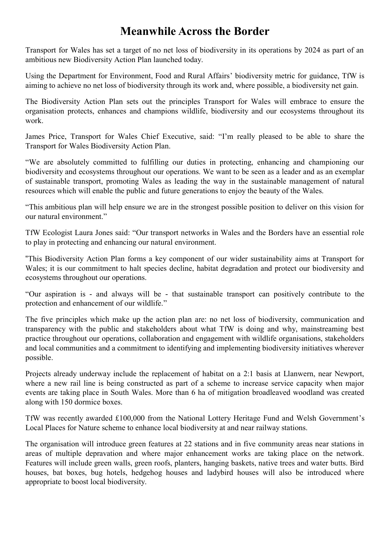#### **Meanwhile Across the Border**

Transport for Wales has set a target of no net loss of biodiversity in its operations by 2024 as part of an ambitious new Biodiversity Action Plan launched today.

Using the Department for Environment, Food and Rural Affairs' biodiversity metric for guidance, TfW is aiming to achieve no net loss of biodiversity through its work and, where possible, a biodiversity net gain.

The Biodiversity Action Plan sets out the principles Transport for Wales will embrace to ensure the organisation protects, enhances and champions wildlife, biodiversity and our ecosystems throughout its work.

James Price, Transport for Wales Chief Executive, said: "I'm really pleased to be able to share the Transport for Wales Biodiversity Action Plan.

"We are absolutely committed to fulfilling our duties in protecting, enhancing and championing our biodiversity and ecosystems throughout our operations. We want to be seen as a leader and as an exemplar of sustainable transport, promoting Wales as leading the way in the sustainable management of natural resources which will enable the public and future generations to enjoy the beauty of the Wales.

"This ambitious plan will help ensure we are in the strongest possible position to deliver on this vision for our natural environment."

TfW Ecologist Laura Jones said: "Our transport networks in Wales and the Borders have an essential role to play in protecting and enhancing our natural environment.

"This Biodiversity Action Plan forms a key component of our wider sustainability aims at Transport for Wales; it is our commitment to halt species decline, habitat degradation and protect our biodiversity and ecosystems throughout our operations.

"Our aspiration is - and always will be - that sustainable transport can positively contribute to the protection and enhancement of our wildlife."

The five principles which make up the action plan are: no net loss of biodiversity, communication and transparency with the public and stakeholders about what TfW is doing and why, mainstreaming best practice throughout our operations, collaboration and engagement with wildlife organisations, stakeholders and local communities and a commitment to identifying and implementing biodiversity initiatives wherever possible.

Projects already underway include the replacement of habitat on a 2:1 basis at Llanwern, near Newport, where a new rail line is being constructed as part of a scheme to increase service capacity when major events are taking place in South Wales. More than 6 ha of mitigation broadleaved woodland was created along with 150 dormice boxes.

TfW was recently awarded £100,000 from the National Lottery Heritage Fund and Welsh Government's Local Places for Nature scheme to enhance local biodiversity at and near railway stations.

The organisation will introduce green features at 22 stations and in five community areas near stations in areas of multiple depravation and where major enhancement works are taking place on the network. Features will include green walls, green roofs, planters, hanging baskets, native trees and water butts. Bird houses, bat boxes, bug hotels, hedgehog houses and ladybird houses will also be introduced where appropriate to boost local biodiversity.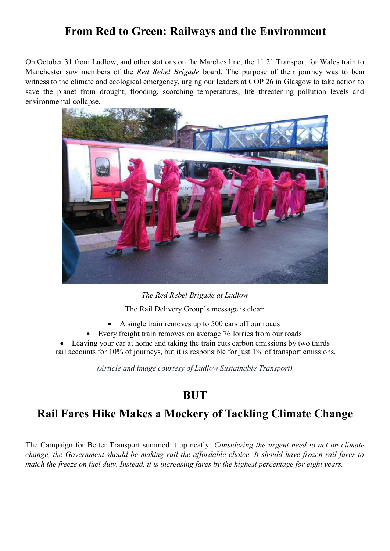#### **From Red to Green: Railways and the Environment**

On October 31 from Ludlow, and other stations on the Marches line, the 11.21 Transport for Wales train to Manchester saw members of the *Red Rebel Brigade* board. The purpose of their journey was to bear witness to the climate and ecological emergency, urging our leaders at COP 26 in Glasgow to take action to save the planet from drought, flooding, scorching temperatures, life threatening pollution levels and environmental collapse.



*The Red Rebel Brigade at Ludlow*

The Rail Delivery Group's message is clear:

- A single train removes up to 500 cars off our roads
- Every freight train removes on average 76 lorries from our roads

• Leaving your car at home and taking the train cuts carbon emissions by two thirds rail accounts for 10% of journeys, but it is responsible for just 1% of transport emissions.

*(Article and image courtesy of Ludlow Sustainable Transport)*

#### **BUT**

#### **Rail Fares Hike Makes a Mockery of Tackling Climate Change**

The Campaign for Better Transport summed it up neatly: *Considering the urgent need to act on climate change, the Government should be making rail the affordable choice. It should have frozen rail fares to match the freeze on fuel duty. Instead, it is increasing fares by the highest percentage for eight years.*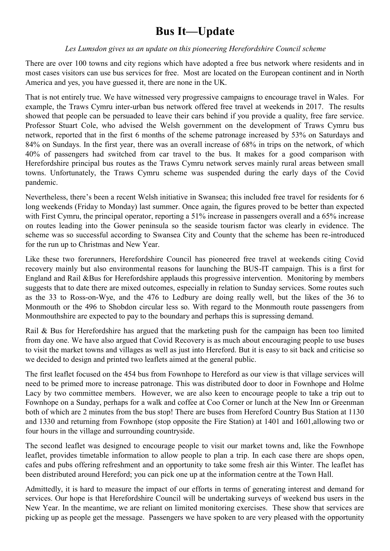# **Bus It—Update**

#### *Les Lumsdon gives us an update on this pioneering Herefordshire Council scheme*

There are over 100 towns and city regions which have adopted a free bus network where residents and in most cases visitors can use bus services for free. Most are located on the European continent and in North America and yes, you have guessed it, there are none in the UK.

That is not entirely true. We have witnessed very progressive campaigns to encourage travel in Wales. For example, the Traws Cymru inter-urban bus network offered free travel at weekends in 2017. The results showed that people can be persuaded to leave their cars behind if you provide a quality, free fare service. Professor Stuart Cole, who advised the Welsh government on the development of Traws Cymru bus network, reported that in the first 6 months of the scheme patronage increased by 53% on Saturdays and 84% on Sundays. In the first year, there was an overall increase of 68% in trips on the network, of which 40% of passengers had switched from car travel to the bus. It makes for a good comparison with Herefordshire principal bus routes as the Traws Cymru network serves mainly rural areas between small towns. Unfortunately, the Traws Cymru scheme was suspended during the early days of the Covid pandemic.

Nevertheless, there's been a recent Welsh initiative in Swansea; this included free travel for residents for 6 long weekends (Friday to Monday) last summer. Once again, the figures proved to be better than expected with First Cymru, the principal operator, reporting a 51% increase in passengers overall and a 65% increase on routes leading into the Gower peninsula so the seaside tourism factor was clearly in evidence. The scheme was so successful according to Swansea City and County that the scheme has been re-introduced for the run up to Christmas and New Year.

Like these two forerunners, Herefordshire Council has pioneered free travel at weekends citing Covid recovery mainly but also environmental reasons for launching the BUS-IT campaign. This is a first for England and Rail &Bus for Herefordshire applauds this progressive intervention. Monitoring by members suggests that to date there are mixed outcomes, especially in relation to Sunday services. Some routes such as the 33 to Ross-on-Wye, and the 476 to Ledbury are doing really well, but the likes of the 36 to Monmouth or the 496 to Shobdon circular less so. With regard to the Monmouth route passengers from Monmouthshire are expected to pay to the boundary and perhaps this is supressing demand.

Rail & Bus for Herefordshire has argued that the marketing push for the campaign has been too limited from day one. We have also argued that Covid Recovery is as much about encouraging people to use buses to visit the market towns and villages as well as just into Hereford. But it is easy to sit back and criticise so we decided to design and printed two leaflets aimed at the general public.

The first leaflet focused on the 454 bus from Fownhope to Hereford as our view is that village services will need to be primed more to increase patronage. This was distributed door to door in Fownhope and Holme Lacy by two committee members. However, we are also keen to encourage people to take a trip out to Fownhope on a Sunday, perhaps for a walk and coffee at Coo Corner or lunch at the New Inn or Greenman both of which are 2 minutes from the bus stop! There are buses from Hereford Country Bus Station at 1130 and 1330 and returning from Fownhope (stop opposite the Fire Station) at 1401 and 1601,allowing two or four hours in the village and surrounding countryside.

The second leaflet was designed to encourage people to visit our market towns and, like the Fownhope leaflet, provides timetable information to allow people to plan a trip. In each case there are shops open, cafes and pubs offering refreshment and an opportunity to take some fresh air this Winter. The leaflet has been distributed around Hereford; you can pick one up at the information centre at the Town Hall.

Admittedly, it is hard to measure the impact of our efforts in terms of generating interest and demand for services. Our hope is that Herefordshire Council will be undertaking surveys of weekend bus users in the New Year. In the meantime, we are reliant on limited monitoring exercises. These show that services are picking up as people get the message. Passengers we have spoken to are very pleased with the opportunity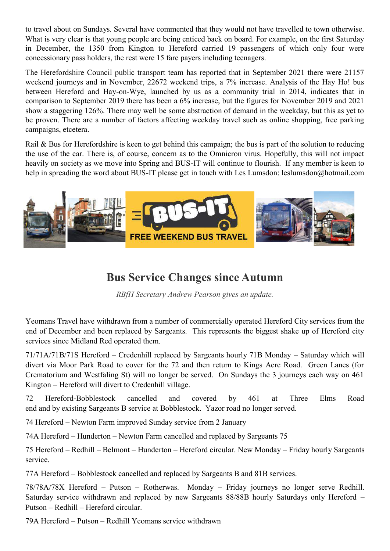to travel about on Sundays. Several have commented that they would not have travelled to town otherwise. What is very clear is that young people are being enticed back on board. For example, on the first Saturday in December, the 1350 from Kington to Hereford carried 19 passengers of which only four were concessionary pass holders, the rest were 15 fare payers including teenagers.

The Herefordshire Council public transport team has reported that in September 2021 there were 21157 weekend journeys and in November, 22672 weekend trips, a 7% increase. Analysis of the Hay Ho! bus between Hereford and Hay-on-Wye, launched by us as a community trial in 2014, indicates that in comparison to September 2019 there has been a 6% increase, but the figures for November 2019 and 2021 show a staggering 126%. There may well be some abstraction of demand in the weekday, but this as yet to be proven. There are a number of factors affecting weekday travel such as online shopping, free parking campaigns, etcetera.

Rail & Bus for Herefordshire is keen to get behind this campaign; the bus is part of the solution to reducing the use of the car. There is, of course, concern as to the Omnicron virus. Hopefully, this will not impact heavily on society as we move into Spring and BUS-IT will continue to flourish. If any member is keen to help in spreading the word about BUS-IT please get in touch with Les Lumsdon: leslumsdon@hotmail.com



#### **Bus Service Changes since Autumn**

*RBfH Secretary Andrew Pearson gives an update.*

Yeomans Travel have withdrawn from a number of commercially operated Hereford City services from the end of December and been replaced by Sargeants. This represents the biggest shake up of Hereford city services since Midland Red operated them.

71/71A/71B/71S Hereford – Credenhill replaced by Sargeants hourly 71B Monday – Saturday which will divert via Moor Park Road to cover for the 72 and then return to Kings Acre Road. Green Lanes (for Crematorium and Westfaling St) will no longer be served. On Sundays the 3 journeys each way on 461 Kington – Hereford will divert to Credenhill village.

72 Hereford-Bobblestock cancelled and covered by 461 at Three Elms Road end and by existing Sargeants B service at Bobblestock. Yazor road no longer served.

74 Hereford – Newton Farm improved Sunday service from 2 January

74A Hereford – Hunderton – Newton Farm cancelled and replaced by Sargeants 75

75 Hereford – Redhill – Belmont – Hunderton – Hereford circular. New Monday – Friday hourly Sargeants service.

77A Hereford – Bobblestock cancelled and replaced by Sargeants B and 81B services.

78/78A/78X Hereford – Putson – Rotherwas. Monday – Friday journeys no longer serve Redhill. Saturday service withdrawn and replaced by new Sargeants 88/88B hourly Saturdays only Hereford – Putson – Redhill – Hereford circular.

79A Hereford – Putson – Redhill Yeomans service withdrawn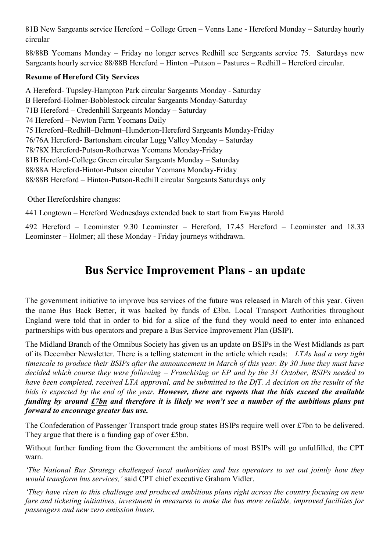81B New Sargeants service Hereford – College Green – Venns Lane - Hereford Monday – Saturday hourly circular

88/88B Yeomans Monday – Friday no longer serves Redhill see Sergeants service 75. Saturdays new Sargeants hourly service 88/88B Hereford – Hinton –Putson – Pastures – Redhill – Hereford circular.

#### **Resume of Hereford City Services**

A Hereford- Tupsley-Hampton Park circular Sargeants Monday - Saturday B Hereford-Holmer-Bobblestock circular Sargeants Monday-Saturday 71B Hereford – Credenhill Sargeants Monday – Saturday 74 Hereford – Newton Farm Yeomans Daily 75 Hereford–Redhill–Belmont–Hunderton-Hereford Sargeants Monday-Friday 76/76A Hereford- Bartonsham circular Lugg Valley Monday – Saturday 78/78X Hereford-Putson-Rotherwas Yeomans Monday-Friday 81B Hereford-College Green circular Sargeants Monday – Saturday 88/88A Hereford-Hinton-Putson circular Yeomans Monday-Friday 88/88B Hereford – Hinton-Putson-Redhill circular Sargeants Saturdays only

Other Herefordshire changes:

441 Longtown – Hereford Wednesdays extended back to start from Ewyas Harold

492 Hereford – Leominster 9.30 Leominster – Hereford, 17.45 Hereford – Leominster and 18.33 Leominster – Holmer; all these Monday - Friday journeys withdrawn.

#### **Bus Service Improvement Plans - an update**

The government initiative to improve bus services of the future was released in March of this year. Given the name Bus Back Better, it was backed by funds of £3bn. Local Transport Authorities throughout England were told that in order to bid for a slice of the fund they would need to enter into enhanced partnerships with bus operators and prepare a Bus Service Improvement Plan (BSIP).

The Midland Branch of the Omnibus Society has given us an update on BSIPs in the West Midlands as part of its December Newsletter. There is a telling statement in the article which reads: *LTAs had a very tight timescale to produce their BSIPs after the announcement in March of this year. By 30 June they must have decided which course they were following – Franchising or EP and by the 31 October, BSIPs needed to have been completed, received LTA approval, and be submitted to the DfT. A decision on the results of the bids is expected by the end of the year. However, there are reports that the bids exceed the available funding by around £7bn and therefore it is likely we won't see a number of the ambitious plans put forward to encourage greater bus use.*

The Confederation of Passenger Transport trade group states BSIPs require well over £7bn to be delivered. They argue that there is a funding gap of over £5bn.

Without further funding from the Government the ambitions of most BSIPs will go unfulfilled, the CPT warn.

*'The National Bus Strategy challenged local authorities and bus operators to set out jointly how they would transform bus services,'* said CPT chief executive Graham Vidler.

*'They have risen to this challenge and produced ambitious plans right across the country focusing on new fare and ticketing initiatives, investment in measures to make the bus more reliable, improved facilities for passengers and new zero emission buses.*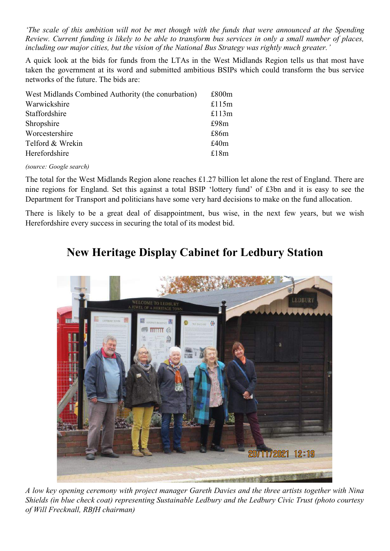*'The scale of this ambition will not be met though with the funds that were announced at the Spending Review. Current funding is likely to be able to transform bus services in only a small number of places, including our major cities, but the vision of the National Bus Strategy was rightly much greater.'*

A quick look at the bids for funds from the LTAs in the West Midlands Region tells us that most have taken the government at its word and submitted ambitious BSIPs which could transform the bus service networks of the future. The bids are:

| West Midlands Combined Authority (the conurbation) | £800m |
|----------------------------------------------------|-------|
| Warwickshire                                       | £115m |
| Staffordshire                                      | £113m |
| Shropshire                                         | £98m  |
| Worcestershire                                     | £86m  |
| Telford & Wrekin                                   | £40m  |
| Herefordshire                                      | £18m  |

*(source: Google search)*

The total for the West Midlands Region alone reaches £1.27 billion let alone the rest of England. There are nine regions for England. Set this against a total BSIP 'lottery fund' of £3bn and it is easy to see the Department for Transport and politicians have some very hard decisions to make on the fund allocation.

There is likely to be a great deal of disappointment, bus wise, in the next few years, but we wish Herefordshire every success in securing the total of its modest bid.

#### **New Heritage Display Cabinet for Ledbury Station**



*A low key opening ceremony with project manager Gareth Davies and the three artists together with Nina Shields (in blue check coat) representing Sustainable Ledbury and the Ledbury Civic Trust (photo courtesy of Will Frecknall, RBfH chairman)*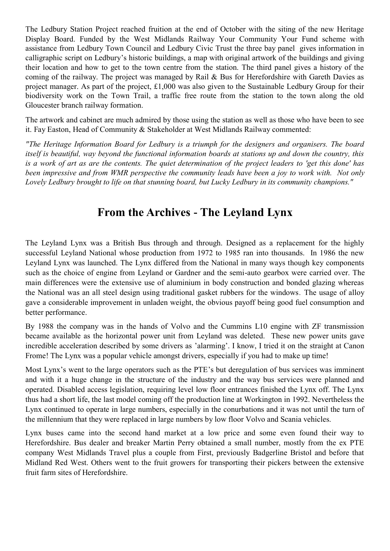The Ledbury Station Project reached fruition at the end of October with the siting of the new Heritage Display Board. Funded by the West Midlands Railway Your Community Your Fund scheme with assistance from Ledbury Town Council and Ledbury Civic Trust the three bay panel gives information in calligraphic script on Ledbury's historic buildings, a map with original artwork of the buildings and giving their location and how to get to the town centre from the station. The third panel gives a history of the coming of the railway. The project was managed by Rail & Bus for Herefordshire with Gareth Davies as project manager. As part of the project, £1,000 was also given to the Sustainable Ledbury Group for their biodiversity work on the Town Trail, a traffic free route from the station to the town along the old Gloucester branch railway formation.

The artwork and cabinet are much admired by those using the station as well as those who have been to see it. Fay Easton, Head of Community & Stakeholder at West Midlands Railway commented:

*"The Heritage Information Board for Ledbury is a triumph for the designers and organisers. The board itself is beautiful, way beyond the functional information boards at stations up and down the country, this is a work of art as are the contents. The quiet determination of the project leaders to 'get this done' has been impressive and from WMR perspective the community leads have been a joy to work with. Not only Lovely Ledbury brought to life on that stunning board, but Lucky Ledbury in its community champions."*

#### **From the Archives - The Leyland Lynx**

The Leyland Lynx was a British Bus through and through. Designed as a replacement for the highly successful Leyland National whose production from 1972 to 1985 ran into thousands. In 1986 the new Leyland Lynx was launched. The Lynx differed from the National in many ways though key components such as the choice of engine from Leyland or Gardner and the semi-auto gearbox were carried over. The main differences were the extensive use of aluminium in body construction and bonded glazing whereas the National was an all steel design using traditional gasket rubbers for the windows. The usage of alloy gave a considerable improvement in unladen weight, the obvious payoff being good fuel consumption and better performance.

By 1988 the company was in the hands of Volvo and the Cummins L10 engine with ZF transmission became available as the horizontal power unit from Leyland was deleted. These new power units gave incredible acceleration described by some drivers as 'alarming'. I know, I tried it on the straight at Canon Frome! The Lynx was a popular vehicle amongst drivers, especially if you had to make up time!

Most Lynx's went to the large operators such as the PTE's but deregulation of bus services was imminent and with it a huge change in the structure of the industry and the way bus services were planned and operated. Disabled access legislation, requiring level low floor entrances finished the Lynx off. The Lynx thus had a short life, the last model coming off the production line at Workington in 1992. Nevertheless the Lynx continued to operate in large numbers, especially in the conurbations and it was not until the turn of the millennium that they were replaced in large numbers by low floor Volvo and Scania vehicles.

Lynx buses came into the second hand market at a low price and some even found their way to Herefordshire. Bus dealer and breaker Martin Perry obtained a small number, mostly from the ex PTE company West Midlands Travel plus a couple from First, previously Badgerline Bristol and before that Midland Red West. Others went to the fruit growers for transporting their pickers between the extensive fruit farm sites of Herefordshire.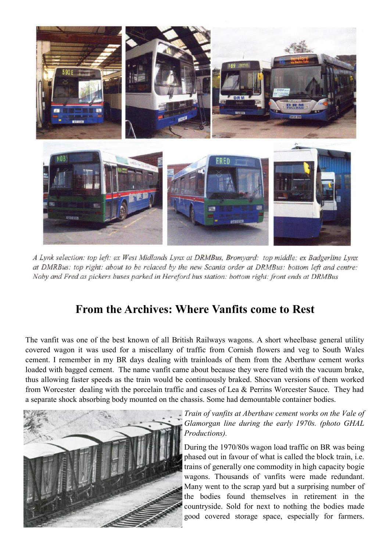

A Lynk selection: top left: ex West Midlands Lynx at DRMBus, Bromyard: top middle: ex Badgerline Lynx at DMRBus: top right: about to be relaced by the new Scania order at DRMBus: bottom left and centre: Noby and Fred as pickers buses parked in Hereford bus station: bottom right: front ends at DRMBus

#### **From the Archives: Where Vanfits come to Rest**

The vanfit was one of the best known of all British Railways wagons. A short wheelbase general utility covered wagon it was used for a miscellany of traffic from Cornish flowers and veg to South Wales cement. I remember in my BR days dealing with trainloads of them from the Aberthaw cement works loaded with bagged cement. The name vanfit came about because they were fitted with the vacuum brake, thus allowing faster speeds as the train would be continuously braked. Shocvan versions of them worked from Worcester dealing with the porcelain traffic and cases of Lea & Perrins Worcester Sauce. They had a separate shock absorbing body mounted on the chassis. Some had demountable container bodies.



*Train of vanfits at Aberthaw cement works on the Vale of Glamorgan line during the early 1970s. (photo GHAL Productions).*

During the 1970/80s wagon load traffic on BR was being phased out in favour of what is called the block train, i.e. trains of generally one commodity in high capacity bogie wagons. Thousands of vanfits were made redundant. Many went to the scrap yard but a surprising number of the bodies found themselves in retirement in the countryside. Sold for next to nothing the bodies made good covered storage space, especially for farmers.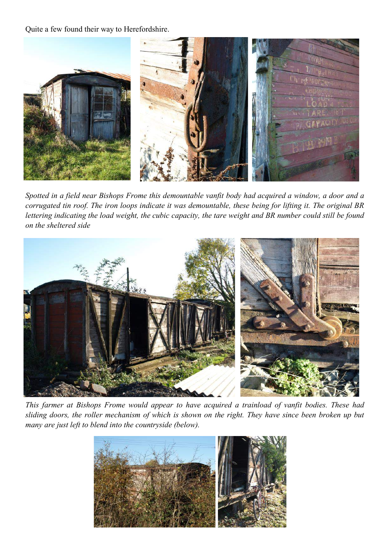Quite a few found their way to Herefordshire.



*Spotted in a field near Bishops Frome this demountable vanfit body had acquired a window, a door and a corrugated tin roof. The iron loops indicate it was demountable, these being for lifting it. The original BR lettering indicating the load weight, the cubic capacity, the tare weight and BR number could still be found on the sheltered side*



*This farmer at Bishops Frome would appear to have acquired a trainload of vanfit bodies. These had sliding doors, the roller mechanism of which is shown on the right. They have since been broken up but many are just left to blend into the countryside (below).*